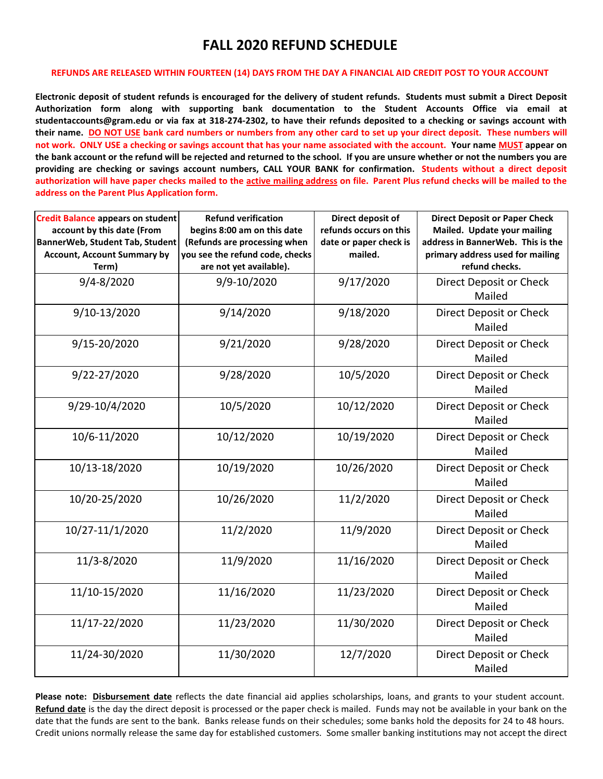## **FALL 2020 REFUND SCHEDULE**

## **REFUNDS ARE RELEASED WITHIN FOURTEEN (14) DAYS FROM THE DAY A FINANCIAL AID CREDIT POST TO YOUR ACCOUNT**

**Electronic deposit of student refunds is encouraged for the delivery of student refunds. Students must submit a Direct Deposit Authorization form along with supporting bank documentation to the Student Accounts Office via email at studentaccounts@gram.edu or via fax at 318-274-2302, to have their refunds deposited to a checking or savings account with their name. DO NOT USE bank card numbers or numbers from any other card to set up your direct deposit. These numbers will not work. ONLY USE a checking or savings account that has your name associated with the account. Your name MUST appear on the bank account or the refund will be rejected and returned to the school. If you are unsure whether or not the numbers you are providing are checking or savings account numbers, CALL YOUR BANK for confirmation. Students without a direct deposit authorization will have paper checks mailed to the active mailing address on file. Parent Plus refund checks will be mailed to the address on the Parent Plus Application form.**

| <b>Credit Balance appears on student</b><br>account by this date (From<br>BannerWeb, Student Tab, Student<br><b>Account, Account Summary by</b><br>Term) | <b>Refund verification</b><br>begins 8:00 am on this date<br>(Refunds are processing when<br>you see the refund code, checks<br>are not yet available). | Direct deposit of<br>refunds occurs on this<br>date or paper check is<br>mailed. | <b>Direct Deposit or Paper Check</b><br>Mailed. Update your mailing<br>address in BannerWeb. This is the<br>primary address used for mailing<br>refund checks. |
|----------------------------------------------------------------------------------------------------------------------------------------------------------|---------------------------------------------------------------------------------------------------------------------------------------------------------|----------------------------------------------------------------------------------|----------------------------------------------------------------------------------------------------------------------------------------------------------------|
| $9/4 - 8/2020$                                                                                                                                           | 9/9-10/2020                                                                                                                                             | 9/17/2020                                                                        | Direct Deposit or Check<br>Mailed                                                                                                                              |
| 9/10-13/2020                                                                                                                                             | 9/14/2020                                                                                                                                               | 9/18/2020                                                                        | Direct Deposit or Check<br>Mailed                                                                                                                              |
| 9/15-20/2020                                                                                                                                             | 9/21/2020                                                                                                                                               | 9/28/2020                                                                        | Direct Deposit or Check<br>Mailed                                                                                                                              |
| 9/22-27/2020                                                                                                                                             | 9/28/2020                                                                                                                                               | 10/5/2020                                                                        | Direct Deposit or Check<br>Mailed                                                                                                                              |
| 9/29-10/4/2020                                                                                                                                           | 10/5/2020                                                                                                                                               | 10/12/2020                                                                       | Direct Deposit or Check<br>Mailed                                                                                                                              |
| 10/6-11/2020                                                                                                                                             | 10/12/2020                                                                                                                                              | 10/19/2020                                                                       | Direct Deposit or Check<br>Mailed                                                                                                                              |
| 10/13-18/2020                                                                                                                                            | 10/19/2020                                                                                                                                              | 10/26/2020                                                                       | Direct Deposit or Check<br>Mailed                                                                                                                              |
| 10/20-25/2020                                                                                                                                            | 10/26/2020                                                                                                                                              | 11/2/2020                                                                        | Direct Deposit or Check<br>Mailed                                                                                                                              |
| 10/27-11/1/2020                                                                                                                                          | 11/2/2020                                                                                                                                               | 11/9/2020                                                                        | Direct Deposit or Check<br>Mailed                                                                                                                              |
| 11/3-8/2020                                                                                                                                              | 11/9/2020                                                                                                                                               | 11/16/2020                                                                       | Direct Deposit or Check<br>Mailed                                                                                                                              |
| 11/10-15/2020                                                                                                                                            | 11/16/2020                                                                                                                                              | 11/23/2020                                                                       | Direct Deposit or Check<br>Mailed                                                                                                                              |
| 11/17-22/2020                                                                                                                                            | 11/23/2020                                                                                                                                              | 11/30/2020                                                                       | Direct Deposit or Check<br>Mailed                                                                                                                              |
| 11/24-30/2020                                                                                                                                            | 11/30/2020                                                                                                                                              | 12/7/2020                                                                        | Direct Deposit or Check<br>Mailed                                                                                                                              |

**Please note: Disbursement date** reflects the date financial aid applies scholarships, loans, and grants to your student account. **Refund date** is the day the direct deposit is processed or the paper check is mailed. Funds may not be available in your bank on the date that the funds are sent to the bank. Banks release funds on their schedules; some banks hold the deposits for 24 to 48 hours. Credit unions normally release the same day for established customers. Some smaller banking institutions may not accept the direct